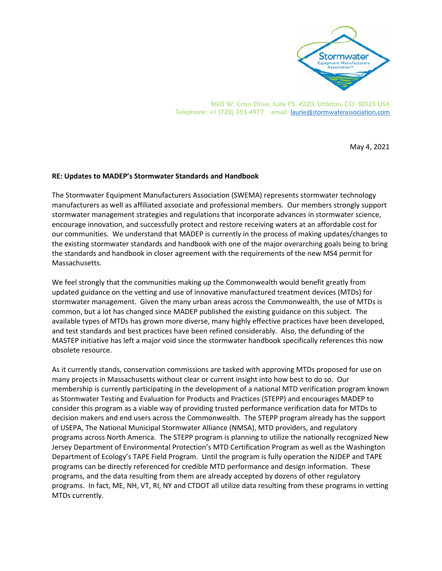

8601 W. Cross Drive, Suite F5, #220, Littleton, CO 80123 USA Telephone: +1 (720) 353-4977 email: laurie@stormwaterassociation.com

May 4, 2021

## **RE: Updates to MADEP's Stormwater Standards and Handbook**

The Stormwater Equipment Manufacturers Association (SWEMA) represents stormwater technology manufacturers as well as affiliated associate and professional members. Our members strongly support stormwater management strategies and regulations that incorporate advances in stormwater science, encourage innovation, and successfully protect and restore receiving waters at an affordable cost for our communities. We understand that MADEP is currently in the process of making updates/changes to the existing stormwater standards and handbook with one of the major overarching goals being to bring the standards and handbook in closer agreement with the requirements of the new MS4 permit for Massachusetts.

We feel strongly that the communities making up the Commonwealth would benefit greatly from updated guidance on the vetting and use of innovative manufactured treatment devices (MTDs) for stormwater management. Given the many urban areas across the Commonwealth, the use of MTDs is common, but a lot has changed since MADEP published the existing guidance on this subject. The available types of MTDs has grown more diverse, many highly effective practices have been developed, and test standards and best practices have been refined considerably. Also, the defunding of the MASTEP initiative has left a major void since the stormwater handbook specifically references this now obsolete resource.

As it currently stands, conservation commissions are tasked with approving MTDs proposed for use on many projects in Massachusetts without clear or current insight into how best to do so. Our membership is currently participating in the development of a national MTD verification program known as Stormwater Testing and Evaluation for Products and Practices (STEPP) and encourages MADEP to consider this program as a viable way of providing trusted performance verification data for MTDs to decision makers and end users across the Commonwealth. The STEPP program already has the support of USEPA, The National Municipal Stormwater Alliance (NMSA), MTD providers, and regulatory programs across North America. The STEPP program is planning to utilize the nationally recognized New Jersey Department of Environmental Protection's MTD Certification Program as well as the Washington Department of Ecology's TAPE Field Program. Until the program is fully operation the NJDEP and TAPE programs can be directly referenced for credible MTD performance and design information. These programs, and the data resulting from them are already accepted by dozens of other regulatory programs. In fact, ME, NH, VT, RI, NY and CTDOT all utilize data resulting from these programs in vetting MTDs currently.